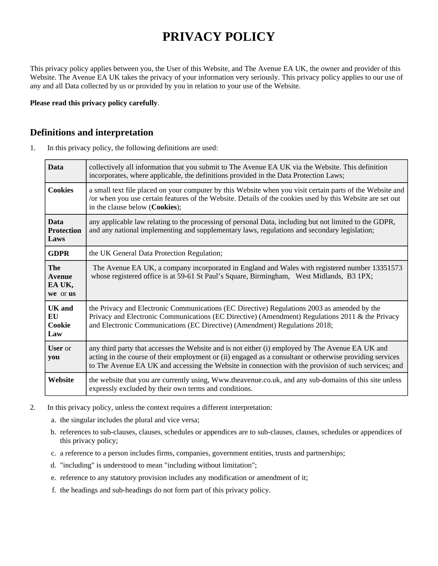# **PRIVACY POLICY**

This privacy policy applies between you, the User of this Website, and The Avenue EA UK, the owner and provider of this Website. The Avenue EA UK takes the privacy of your information very seriously. This privacy policy applies to our use of any and all Data collected by us or provided by you in relation to your use of the Website.

**Please read this privacy policy carefully**.

## **Definitions and interpretation**

1. In this privacy policy, the following definitions are used:

| <b>Data</b>                                       | collectively all information that you submit to The Avenue EA UK via the Website. This definition<br>incorporates, where applicable, the definitions provided in the Data Protection Laws;                                                                                                                           |
|---------------------------------------------------|----------------------------------------------------------------------------------------------------------------------------------------------------------------------------------------------------------------------------------------------------------------------------------------------------------------------|
| <b>Cookies</b>                                    | a small text file placed on your computer by this Website when you visit certain parts of the Website and<br>or when you use certain features of the Website. Details of the cookies used by this Website are set out<br>in the clause below (Cookies);                                                              |
| <b>Data</b><br><b>Protection</b><br>Laws          | any applicable law relating to the processing of personal Data, including but not limited to the GDPR,<br>and any national implementing and supplementary laws, regulations and secondary legislation;                                                                                                               |
| <b>GDPR</b>                                       | the UK General Data Protection Regulation;                                                                                                                                                                                                                                                                           |
| <b>The</b><br><b>Avenue</b><br>EA UK,<br>we or us | The Avenue EA UK, a company incorporated in England and Wales with registered number 13351573<br>whose registered office is at 59-61 St Paul's Square, Birmingham, West Midlands, B3 1PX;                                                                                                                            |
| <b>UK</b> and<br>EU<br>Cookie<br>Law              | the Privacy and Electronic Communications (EC Directive) Regulations 2003 as amended by the<br>Privacy and Electronic Communications (EC Directive) (Amendment) Regulations 2011 & the Privacy<br>and Electronic Communications (EC Directive) (Amendment) Regulations 2018;                                         |
| <b>User</b> or<br>you                             | any third party that accesses the Website and is not either (i) employed by The Avenue EA UK and<br>acting in the course of their employment or (ii) engaged as a consultant or otherwise providing services<br>to The Avenue EA UK and accessing the Website in connection with the provision of such services; and |
| Website                                           | the website that you are currently using, Www.theavenue.co.uk, and any sub-domains of this site unless<br>expressly excluded by their own terms and conditions.                                                                                                                                                      |

- 2. In this privacy policy, unless the context requires a different interpretation:
	- a. the singular includes the plural and vice versa;
	- b. references to sub-clauses, clauses, schedules or appendices are to sub-clauses, clauses, schedules or appendices of this privacy policy;
	- c. a reference to a person includes firms, companies, government entities, trusts and partnerships;
	- d. "including" is understood to mean "including without limitation";
	- e. reference to any statutory provision includes any modification or amendment of it;
	- f. the headings and sub-headings do not form part of this privacy policy.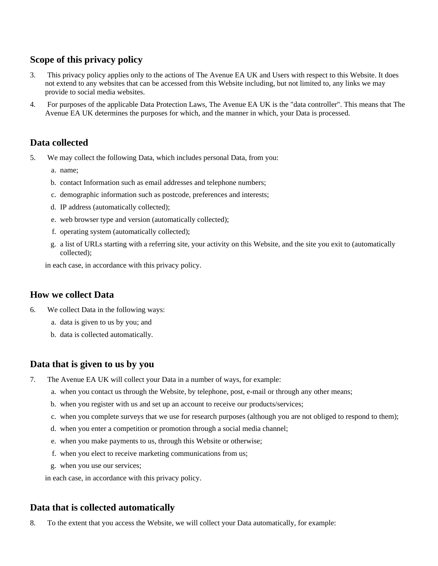# **Scope of this privacy policy**

- 3. This privacy policy applies only to the actions of The Avenue EA UK and Users with respect to this Website. It does not extend to any websites that can be accessed from this Website including, but not limited to, any links we may provide to social media websites.
- 4. For purposes of the applicable Data Protection Laws, The Avenue EA UK is the "data controller". This means that The Avenue EA UK determines the purposes for which, and the manner in which, your Data is processed.

## **Data collected**

- 5. We may collect the following Data, which includes personal Data, from you:
	- a. name;
	- b. contact Information such as email addresses and telephone numbers;
	- c. demographic information such as postcode, preferences and interests;
	- d. IP address (automatically collected);
	- e. web browser type and version (automatically collected);
	- f. operating system (automatically collected);
	- g. a list of URLs starting with a referring site, your activity on this Website, and the site you exit to (automatically collected);

in each case, in accordance with this privacy policy.

## **How we collect Data**

- 6. We collect Data in the following ways:
	- a. data is given to us by you; and
	- b. data is collected automatically.

## **Data that is given to us by you**

- 7. The Avenue EA UK will collect your Data in a number of ways, for example:
	- a. when you contact us through the Website, by telephone, post, e-mail or through any other means;
	- b. when you register with us and set up an account to receive our products/services;
	- c. when you complete surveys that we use for research purposes (although you are not obliged to respond to them);
	- d. when you enter a competition or promotion through a social media channel;
	- e. when you make payments to us, through this Website or otherwise;
	- f. when you elect to receive marketing communications from us;
	- g. when you use our services;

in each case, in accordance with this privacy policy.

## **Data that is collected automatically**

8. To the extent that you access the Website, we will collect your Data automatically, for example: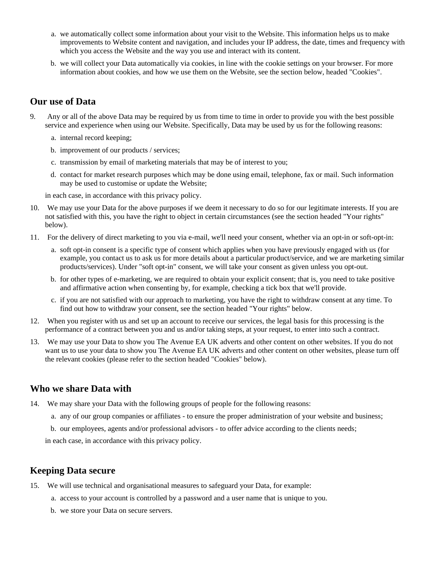- a. we automatically collect some information about your visit to the Website. This information helps us to make improvements to Website content and navigation, and includes your IP address, the date, times and frequency with which you access the Website and the way you use and interact with its content.
- b. we will collect your Data automatically via cookies, in line with the cookie settings on your browser. For more information about cookies, and how we use them on the Website, see the section below, headed "Cookies".

## **Our use of Data**

- 9. Any or all of the above Data may be required by us from time to time in order to provide you with the best possible service and experience when using our Website. Specifically, Data may be used by us for the following reasons:
	- a. internal record keeping;
	- b. improvement of our products / services;
	- c. transmission by email of marketing materials that may be of interest to you;
	- d. contact for market research purposes which may be done using email, telephone, fax or mail. Such information may be used to customise or update the Website;

in each case, in accordance with this privacy policy.

- 10. We may use your Data for the above purposes if we deem it necessary to do so for our legitimate interests. If you are not satisfied with this, you have the right to object in certain circumstances (see the section headed "Your rights" below).
- 11. For the delivery of direct marketing to you via e-mail, we'll need your consent, whether via an opt-in or soft-opt-in:
	- a. soft opt-in consent is a specific type of consent which applies when you have previously engaged with us (for example, you contact us to ask us for more details about a particular product/service, and we are marketing similar products/services). Under "soft opt-in" consent, we will take your consent as given unless you opt-out.
	- b. for other types of e-marketing, we are required to obtain your explicit consent; that is, you need to take positive and affirmative action when consenting by, for example, checking a tick box that we'll provide.
	- c. if you are not satisfied with our approach to marketing, you have the right to withdraw consent at any time. To find out how to withdraw your consent, see the section headed "Your rights" below.
- 12. When you register with us and set up an account to receive our services, the legal basis for this processing is the performance of a contract between you and us and/or taking steps, at your request, to enter into such a contract.
- 13. We may use your Data to show you The Avenue EA UK adverts and other content on other websites. If you do not want us to use your data to show you The Avenue EA UK adverts and other content on other websites, please turn off the relevant cookies (please refer to the section headed "Cookies" below).

## **Who we share Data with**

- 14. We may share your Data with the following groups of people for the following reasons:
	- a. any of our group companies or affiliates to ensure the proper administration of your website and business;
	- b. our employees, agents and/or professional advisors to offer advice according to the clients needs;

in each case, in accordance with this privacy policy.

## **Keeping Data secure**

- 15. We will use technical and organisational measures to safeguard your Data, for example:
	- a. access to your account is controlled by a password and a user name that is unique to you.
	- b. we store your Data on secure servers.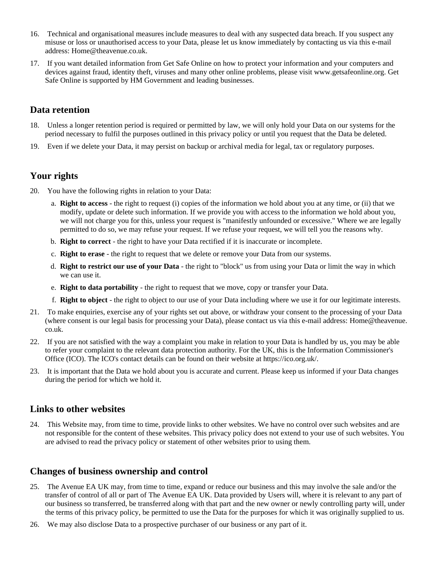- 16. Technical and organisational measures include measures to deal with any suspected data breach. If you suspect any misuse or loss or unauthorised access to your Data, please let us know immediately by contacting us via this e-mail address: Home@theavenue.co.uk.
- 17. If you want detailed information from Get Safe Online on how to protect your information and your computers and devices against fraud, identity theft, viruses and many other online problems, please visit www.getsafeonline.org. Get Safe Online is supported by HM Government and leading businesses.

#### **Data retention**

- 18. Unless a longer retention period is required or permitted by law, we will only hold your Data on our systems for the period necessary to fulfil the purposes outlined in this privacy policy or until you request that the Data be deleted.
- 19. Even if we delete your Data, it may persist on backup or archival media for legal, tax or regulatory purposes.

## **Your rights**

- 20. You have the following rights in relation to your Data:
	- a. **Right to access** the right to request (i) copies of the information we hold about you at any time, or (ii) that we modify, update or delete such information. If we provide you with access to the information we hold about you, we will not charge you for this, unless your request is "manifestly unfounded or excessive." Where we are legally permitted to do so, we may refuse your request. If we refuse your request, we will tell you the reasons why.
	- b. **Right to correct** the right to have your Data rectified if it is inaccurate or incomplete.
	- c. **Right to erase** the right to request that we delete or remove your Data from our systems.
	- d. **Right to restrict our use of your Data** the right to "block" us from using your Data or limit the way in which we can use it.
	- e. **Right to data portability** the right to request that we move, copy or transfer your Data.
	- f. **Right to object** the right to object to our use of your Data including where we use it for our legitimate interests.
- 21. To make enquiries, exercise any of your rights set out above, or withdraw your consent to the processing of your Data (where consent is our legal basis for processing your Data), please contact us via this e-mail address: Home@theavenue. co.uk.
- 22. If you are not satisfied with the way a complaint you make in relation to your Data is handled by us, you may be able to refer your complaint to the relevant data protection authority. For the UK, this is the Information Commissioner's Office (ICO). The ICO's contact details can be found on their website at https://ico.org.uk/.
- 23. It is important that the Data we hold about you is accurate and current. Please keep us informed if your Data changes during the period for which we hold it.

#### **Links to other websites**

24. This Website may, from time to time, provide links to other websites. We have no control over such websites and are not responsible for the content of these websites. This privacy policy does not extend to your use of such websites. You are advised to read the privacy policy or statement of other websites prior to using them.

## **Changes of business ownership and control**

- 25. The Avenue EA UK may, from time to time, expand or reduce our business and this may involve the sale and/or the transfer of control of all or part of The Avenue EA UK. Data provided by Users will, where it is relevant to any part of our business so transferred, be transferred along with that part and the new owner or newly controlling party will, under the terms of this privacy policy, be permitted to use the Data for the purposes for which it was originally supplied to us.
- 26. We may also disclose Data to a prospective purchaser of our business or any part of it.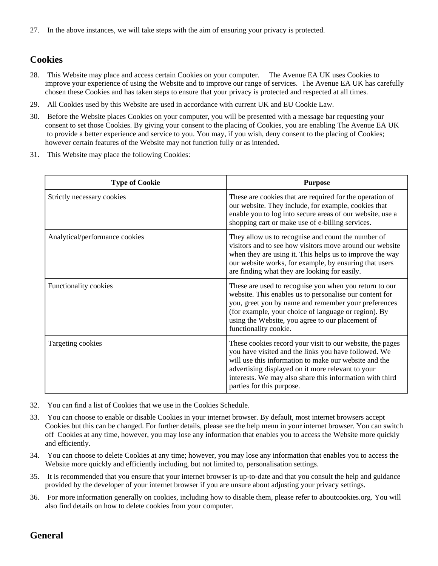27. In the above instances, we will take steps with the aim of ensuring your privacy is protected.

## **Cookies**

- 28. This Website may place and access certain Cookies on your computer. The Avenue EA UK uses Cookies to improve your experience of using the Website and to improve our range of services. The Avenue EA UK has carefully chosen these Cookies and has taken steps to ensure that your privacy is protected and respected at all times.
- 29. All Cookies used by this Website are used in accordance with current UK and EU Cookie Law.
- 30. Before the Website places Cookies on your computer, you will be presented with a message bar requesting your consent to set those Cookies. By giving your consent to the placing of Cookies, you are enabling The Avenue EA UK to provide a better experience and service to you. You may, if you wish, deny consent to the placing of Cookies; however certain features of the Website may not function fully or as intended.
- 31. This Website may place the following Cookies:

| <b>Type of Cookie</b>          | <b>Purpose</b>                                                                                                                                                                                                                                                                                                           |
|--------------------------------|--------------------------------------------------------------------------------------------------------------------------------------------------------------------------------------------------------------------------------------------------------------------------------------------------------------------------|
| Strictly necessary cookies     | These are cookies that are required for the operation of<br>our website. They include, for example, cookies that<br>enable you to log into secure areas of our website, use a<br>shopping cart or make use of e-billing services.                                                                                        |
| Analytical/performance cookies | They allow us to recognise and count the number of<br>visitors and to see how visitors move around our website<br>when they are using it. This helps us to improve the way<br>our website works, for example, by ensuring that users<br>are finding what they are looking for easily.                                    |
| Functionality cookies          | These are used to recognise you when you return to our<br>website. This enables us to personalise our content for<br>you, greet you by name and remember your preferences<br>(for example, your choice of language or region). By<br>using the Website, you agree to our placement of<br>functionality cookie.           |
| Targeting cookies              | These cookies record your visit to our website, the pages<br>you have visited and the links you have followed. We<br>will use this information to make our website and the<br>advertising displayed on it more relevant to your<br>interests. We may also share this information with third<br>parties for this purpose. |

- 32. You can find a list of Cookies that we use in the Cookies Schedule.
- 33. You can choose to enable or disable Cookies in your internet browser. By default, most internet browsers accept Cookies but this can be changed. For further details, please see the help menu in your internet browser. You can switch off Cookies at any time, however, you may lose any information that enables you to access the Website more quickly and efficiently.
- 34. You can choose to delete Cookies at any time; however, you may lose any information that enables you to access the Website more quickly and efficiently including, but not limited to, personalisation settings.
- 35. It is recommended that you ensure that your internet browser is up-to-date and that you consult the help and guidance provided by the developer of your internet browser if you are unsure about adjusting your privacy settings.
- 36. For more information generally on cookies, including how to disable them, please refer to aboutcookies.org. You will also find details on how to delete cookies from your computer.

## **General**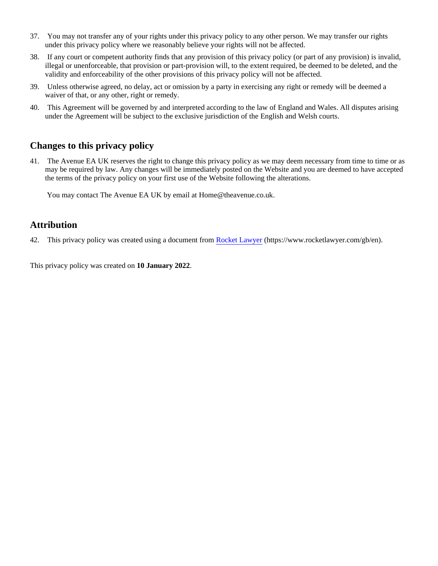- 37. You may not transfer any of your rights under this privacy policy to any other person. We may transfer our rights under this privacy policy where we reasonably believe your rights will not be affected.
- 38. If any court or competent authority finds that any provision of this privacy policy (or part of any provision) is invalid, illegal or unenforceable, that provision or part-provision will, to the extent required, be deemed to be deleted, and the validity and enforceability of the other provisions of this privacy policy will not be affected.
- 39. Unless otherwise agreed, no delay, act or omission by a party in exercising any right or remedy will be deemed a waiver of that, or any other, right or remedy.
- 40. This Agreement will be governed by and interpreted according to the law of England and Wales. All disputes arising under the Agreement will be subject to the exclusive jurisdiction of the English and Welsh courts.

## **Changes to this privacy policy**

41. The Avenue EA UK reserves the right to change this privacy policy as we may deem necessary from time to time or as may be required by law. Any changes will be immediately posted on the Website and you are deemed to have accepted the terms of the privacy policy on your first use of the Website following the alterations.

You may contact The Avenue EA UK by email at Home@theavenue.co.uk.

## **Attribution**

42. This privacy policy was created using a document from [Rocket Lawyer](https://www.rocketlawyer.com/gb/en/) (https://www.rocketlawyer.com/gb/en).

This privacy policy was created on **10 January 2022**.